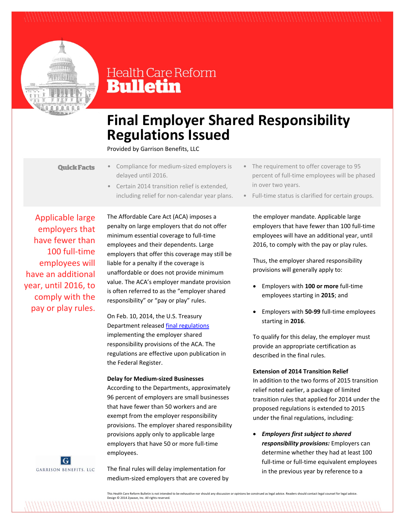

# **Health Care Reform Bulletin**

# **Final Employer Shared Responsibility Regulations Issued**

Provided by Garrison Benefits, LLC

- **Quick Facts**
- Compliance for medium‐sized employers is delayed until 2016.
	- Certain 2014 transition relief is extended, including relief for non‐calendar year plans.

Applicable large employers that have fewer than 100 full‐time employees will have an additional year, until 2016, to comply with the pay or play rules.



The Affordable Care Act (ACA) imposes a penalty on large employers that do not offer minimum essential coverage to full‐time employees and their dependents. Large employers that offer this coverage may still be liable for a penalty if the coverage is unaffordable or does not provide minimum value. The ACA's employer mandate provision is often referred to as the "employer shared responsibility" or "pay or play" rules.

On Feb. 10, 2014, the U.S. Treasury Department released final regulations implementing the employer shared responsibility provisions of the ACA. The regulations are effective upon publication in the Federal Register.

### **Delay for Medium‐sized Businesses**

According to the Departments, approximately 96 percent of employers are small businesses that have fewer than 50 workers and are exempt from the employer responsibility provisions. The employer shared responsibility provisions apply only to applicable large employers that have 50 or more full‐time employees.

The final rules will delay implementation for medium‐sized employers that are covered by

- The requirement to offer coverage to 95 percent of full-time employees will be phased in over two years.
- Full-time status is clarified for certain groups.

the employer mandate. Applicable large employers that have fewer than 100 full‐time employees will have an additional year, until 2016, to comply with the pay or play rules.

Thus, the employer shared responsibility provisions will generally apply to:

- Employers with **100 or more** full‐time employees starting in **2015**; and
- Employers with **50‐99** full‐time employees starting in **2016**.

To qualify for this delay, the employer must provide an appropriate certification as described in the final rules.

# **Extension of 2014 Transition Relief**

In addition to the two forms of 2015 transition relief noted earlier, a package of limited transition rules that applied for 2014 under the proposed regulations is extended to 2015 under the final regulations, including:

 *Employers first subject to shared responsibility provisions:* Employers can determine whether they had at least 100 full-time or full-time equivalent employees in the previous year by reference to a

This Health Care Reform Bulletin is not intended to be exhaustive nor should any discussion or opinions be construed as legal advice. Readers should contact legal counsel for legal advice. Design © 2014 Zywave, Inc. All rights reserved.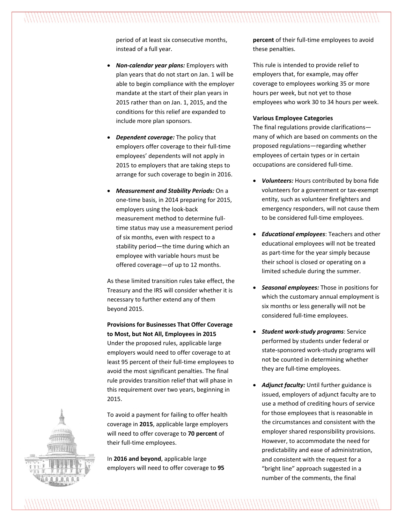period of at least six consecutive months, instead of a full year.

- *Non‐calendar year plans:* Employers with plan years that do not start on Jan. 1 will be able to begin compliance with the employer mandate at the start of their plan years in 2015 rather than on Jan. 1, 2015, and the conditions for this relief are expanded to include more plan sponsors.
- *Dependent coverage:* The policy that employers offer coverage to their full‐time employees' dependents will not apply in 2015 to employers that are taking steps to arrange for such coverage to begin in 2016.
- *Measurement and Stability Periods:* On a one‐time basis, in 2014 preparing for 2015, employers using the look‐back measurement method to determine full‐ time status may use a measurement period of six months, even with respect to a stability period—the time during which an employee with variable hours must be offered coverage—of up to 12 months.

As these limited transition rules take effect, the Treasury and the IRS will consider whether it is necessary to further extend any of them beyond 2015.

# **Provisions for Businesses That Offer Coverage to Most, but Not All, Employees in 2015**

Under the proposed rules, applicable large employers would need to offer coverage to at least 95 percent of their full‐time employees to avoid the most significant penalties. The final rule provides transition relief that will phase in this requirement over two years, beginning in 2015.

To avoid a payment for failing to offer health coverage in **2015**, applicable large employers will need to offer coverage to **70 percent** of their full‐time employees.

In **2016 and beyond**, applicable large employers will need to offer coverage to **95** **percent** of their full-time employees to avoid these penalties.

This rule is intended to provide relief to employers that, for example, may offer coverage to employees working 35 or more hours per week, but not yet to those employees who work 30 to 34 hours per week.

## **Various Employee Categories**

The final regulations provide clarifications many of which are based on comments on the proposed regulations—regarding whether employees of certain types or in certain occupations are considered full‐time.

- *Volunteers:* Hours contributed by bona fide volunteers for a government or tax‐exempt entity, such as volunteer firefighters and emergency responders, will not cause them to be considered full-time employees.
- *Educational employees*: Teachers and other educational employees will not be treated as part‐time for the year simply because their school is closed or operating on a limited schedule during the summer.
- *Seasonal employees:* Those in positions for which the customary annual employment is six months or less generally will not be considered full‐time employees.
- *Student work‐study programs*: Service performed by students under federal or state‐sponsored work‐study programs will not be counted in determining whether they are full‐time employees.
- *Adjunct faculty:* Until further guidance is issued, employers of adjunct faculty are to use a method of crediting hours of service for those employees that is reasonable in the circumstances and consistent with the employer shared responsibility provisions. However, to accommodate the need for predictability and ease of administration, and consistent with the request for a "bright line" approach suggested in a number of the comments, the final